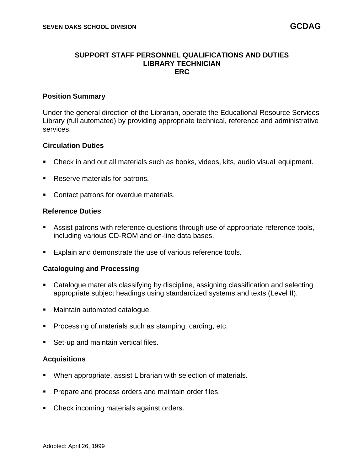#### **SUPPORT STAFF PERSONNEL QUALIFICATIONS AND DUTIES LIBRARY TECHNICIAN ERC**

#### **Position Summary**

Under the general direction of the Librarian, operate the Educational Resource Services Library (full automated) by providing appropriate technical, reference and administrative services.

#### **Circulation Duties**

- Check in and out all materials such as books, videos, kits, audio visual equipment.
- Reserve materials for patrons.
- Contact patrons for overdue materials.

## **Reference Duties**

- Assist patrons with reference questions through use of appropriate reference tools, including various CD-ROM and on-line data bases.
- Explain and demonstrate the use of various reference tools.

#### **Cataloguing and Processing**

- Catalogue materials classifying by discipline, assigning classification and selecting appropriate subject headings using standardized systems and texts (Level II).
- Maintain automated catalogue.
- Processing of materials such as stamping, carding, etc.
- Set-up and maintain vertical files.

#### **Acquisitions**

- When appropriate, assist Librarian with selection of materials.
- **Prepare and process orders and maintain order files.**
- Check incoming materials against orders.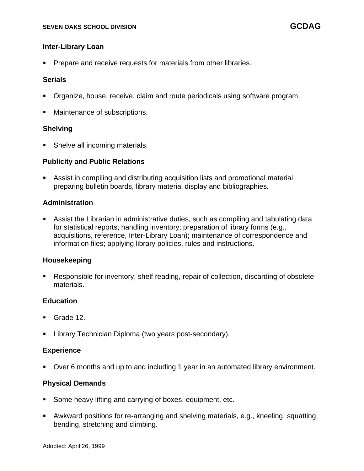## **Inter-Library Loan**

**Prepare and receive requests for materials from other libraries.** 

### **Serials**

- Organize, house, receive, claim and route periodicals using software program.
- Maintenance of subscriptions.

## **Shelving**

Shelve all incoming materials.

## **Publicity and Public Relations**

■ Assist in compiling and distributing acquisition lists and promotional material, preparing bulletin boards, library material display and bibliographies.

## **Administration**

Assist the Librarian in administrative duties, such as compiling and tabulating data for statistical reports; handling inventory; preparation of library forms (e.g., acquisitions, reference, Inter-Library Loan); maintenance of correspondence and information files; applying library policies, rules and instructions.

#### **Housekeeping**

■ Responsible for inventory, shelf reading, repair of collection, discarding of obsolete materials.

## **Education**

- Grade 12.
- Library Technician Diploma (two years post-secondary).

#### **Experience**

▪ Over 6 months and up to and including 1 year in an automated library environment.

## **Physical Demands**

- Some heavy lifting and carrying of boxes, equipment, etc.
- Awkward positions for re-arranging and shelving materials, e.g., kneeling, squatting, bending, stretching and climbing.